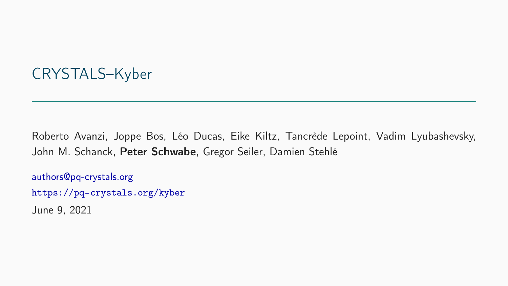## CRYSTALS–Kyber

Roberto Avanzi, Joppe Bos, Léo Ducas, Eike Kiltz, Tancrède Lepoint, Vadim Lyubashevsky, John M. Schanck, Peter Schwabe, Gregor Seiler, Damien Stehlé

[authors@pq-crystals.org](mailto:authors@pq-crystals.org)  <https://pq-crystals.org/kyber>

June 9, 2021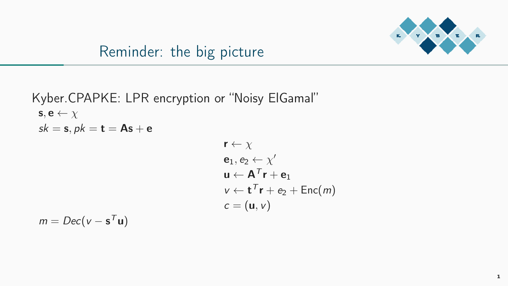

## Reminder: the big picture

Kyber.CPAPKE: LPR encryption or "Noisy ElGamal"  $\mathbf{s}, \mathbf{e} \leftarrow \chi$  $sk = s, pk = t = As + e$  $r \leftarrow \nu$ 

$$
\mathbf{e}_1, \mathbf{e}_2 \leftarrow \chi'
$$
\n
$$
\mathbf{u} \leftarrow \mathbf{A}^T \mathbf{r} + \mathbf{e}_1
$$
\n
$$
\mathbf{v} \leftarrow \mathbf{t}^T \mathbf{r} + \mathbf{e}_2 + \text{Enc}(m)
$$
\n
$$
\mathbf{c} = (\mathbf{u}, \mathbf{v})
$$

 $m = Dec(v - s<sup>T</sup>u)$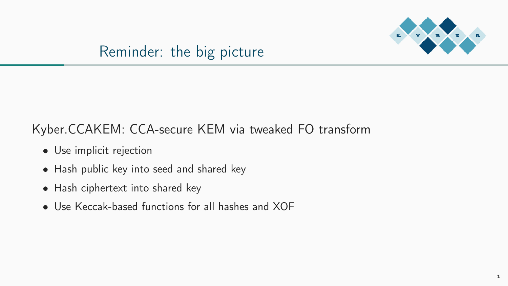

#### Reminder: the big picture

#### Kyber.CCAKEM: CCA-secure KEM via tweaked FO transform

- Use implicit rejection
- Hash public key into seed and shared key
- Hash ciphertext into shared key
- Use Keccak-based functions for all hashes and XOF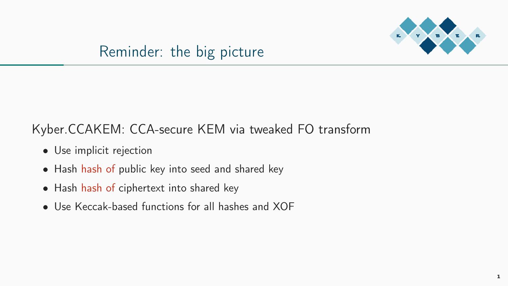

#### Reminder: the big picture

#### Kyber.CCAKEM: CCA-secure KEM via tweaked FO transform

- Use implicit rejection
- Hash hash of public key into seed and shared key
- Hash hash of ciphertext into shared key
- Use Keccak-based functions for all hashes and XOF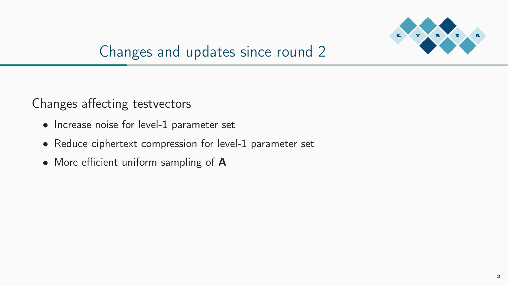

## Changes and updates since round 2

Changes affecting testvectors

- Increase noise for level-1 parameter set
- Reduce ciphertext compression for level-1 parameter set
- More efficient uniform sampling of A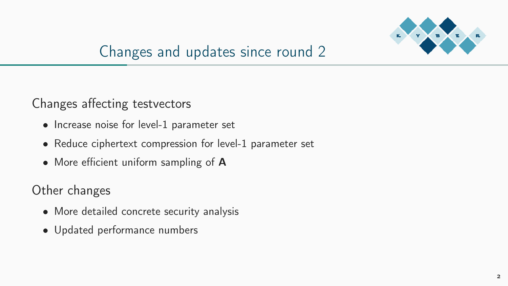

# Changes and updates since round 2

#### Changes affecting testvectors

- Increase noise for level-1 parameter set
- Reduce ciphertext compression for level-1 parameter set
- More efficient uniform sampling of A

Other changes

- More detailed concrete security analysis
- Updated performance numbers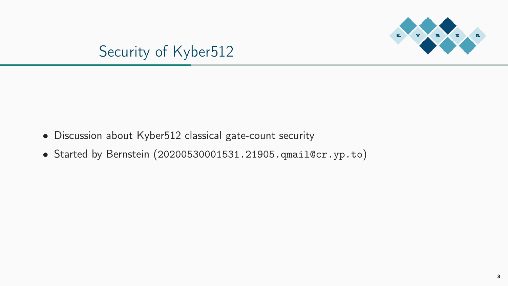



- Discussion about Kyber512 classical gate-count security
- Started by Bernstein ([20200530001531.21905.qmail@cr.yp.to](mailto:20200530001531.21905.qmail@cr.yp.to))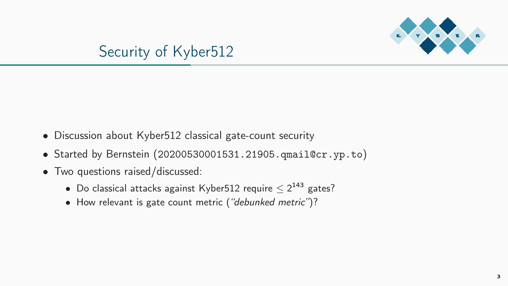

## Security of Kyber512

- Discussion about Kyber512 classical gate-count security
- Started by Bernstein ([20200530001531.21905.qmail@cr.yp.to](mailto:20200530001531.21905.qmail@cr.yp.to))
- Two questions raised/discussed:
	- Do classical attacks against Kyber512 require  $\leq 2^{143}$  gates?
	- How relevant is gate count metric ("debunked metric")?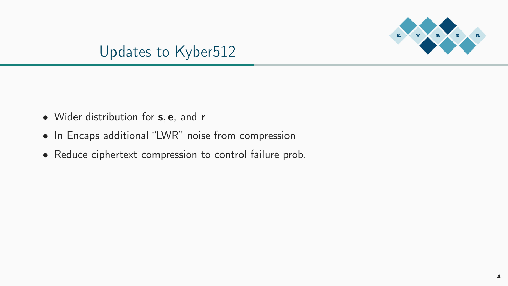

## Updates to Kyber512

- Wider distribution for **s**, **e**, and **r**
- In Encaps additional "LWR" noise from compression
- Reduce ciphertext compression to control failure prob.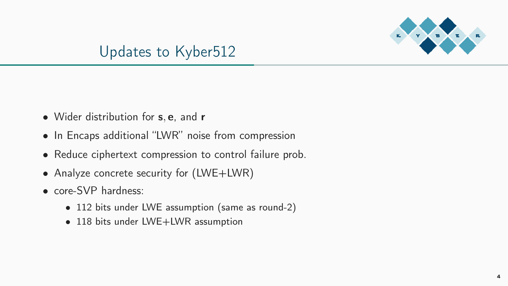

## Updates to Kyber512

- Wider distribution for **s**, **e**, and **r**
- In Encaps additional "LWR" noise from compression
- Reduce ciphertext compression to control failure prob.
- Analyze concrete security for (LWE+LWR)
- core-SVP hardness:
	- 112 bits under LWE assumption (same as round-2)
	- 118 bits under LWE+LWR assumption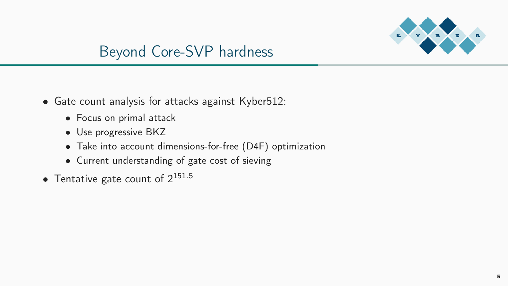

## Beyond Core-SVP hardness

- Gate count analysis for attacks against Kyber512:
	- Focus on primal attack
	- Use progressive BKZ
	- Take into account dimensions-for-free (D4F) optimization
	- Current understanding of gate cost of sieving
- Tentative gate count of  $2^{151.5}$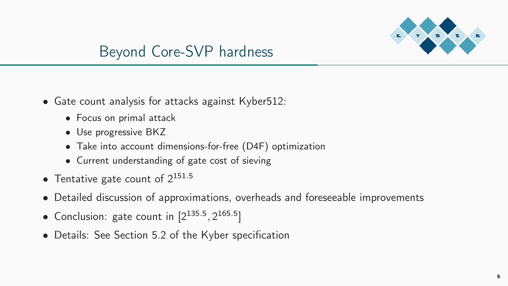

## Beyond Core-SVP hardness

- Gate count analysis for attacks against Kyber512:
	- Focus on primal attack
	- Use progressive BKZ
	- Take into account dimensions-for-free (D4F) optimization
	- Current understanding of gate cost of sieving
- Tentative gate count of  $2^{151.5}$
- Detailed discussion of approximations, overheads and foreseeable improvements
- Conclusion: gate count in  $[2^{135.5}, 2^{165.5}]$
- Details: See Section 5.2 of the Kyber specification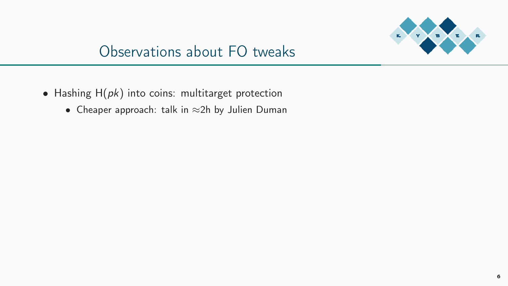

- Hashing  $H(\rho k)$  into coins: multitarget protection
	- Cheaper approach: talk in ≈2h by Julien Duman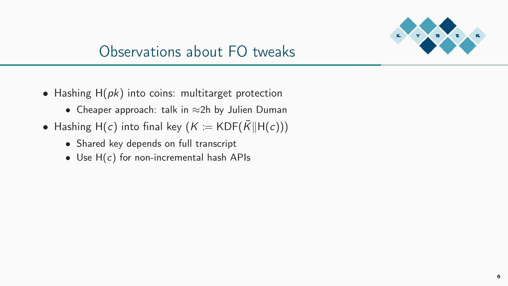

- Hashing  $H(pk)$  into coins: multitarget protection
	- Cheaper approach: talk in ≈2h by Julien Duman
- Hashing H(c) into final key  $(K := KDF(\overline{K}||H(c)))$ 
	- Shared key depends on full transcript
	- Use  $H(c)$  for non-incremental hash APIs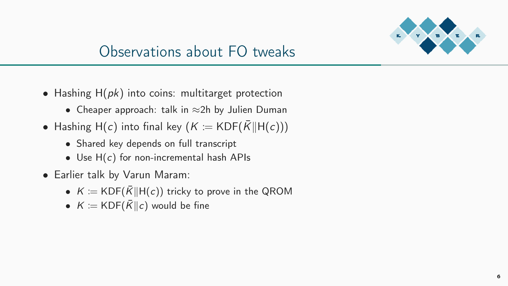

- Hashing  $H(\rho k)$  into coins: multitarget protection
	- Cheaper approach: talk in ≈2h by Julien Duman
- Hashing H(c) into final key ( $K := KDF(\overline{K}||H(c)))$ 
	- Shared key depends on full transcript
	- Use  $H(c)$  for non-incremental hash APIs
- Earlier talk by Varun Maram:
	- $K \coloneqq KDF(\overline{K}||H(c))$  tricky to prove in the QROM
	- $K := \text{KDF}(\overline{K}||c)$  would be fine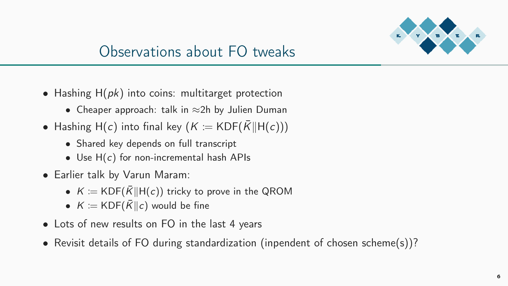

- Hashing  $H(\rho k)$  into coins: multitarget protection
	- Cheaper approach: talk in ≈2h by Julien Duman
- Hashing H(c) into final key  $(K := KDF(\overline{K}||H(c)))$ 
	- Shared key depends on full transcript
	- Use  $H(c)$  for non-incremental hash APIs
- Earlier talk by Varun Maram:
	- $K = KDF(\overline{K}||H(c))$  tricky to prove in the QROM
	- $K := \text{KDF}(\overline{K}||c)$  would be fine
- Lots of new results on FO in the last 4 years
- Revisit details of FO during standardization (inpendent of chosen scheme(s))?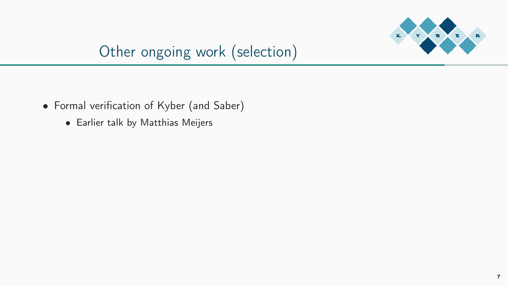

# Other ongoing work (selection)

- Formal verifcation of Kyber (and Saber)
	- Earlier talk by Matthias Meijers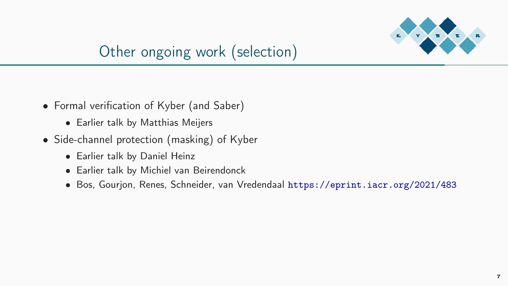

# Other ongoing work (selection)

- Formal verifcation of Kyber (and Saber)
	- Earlier talk by Matthias Meijers
- Side-channel protection (masking) of Kyber
	- Earlier talk by Daniel Heinz
	- Earlier talk by Michiel van Beirendonck
	- Bos, Gourjon, Renes, Schneider, van Vredendaal <https://eprint.iacr.org/2021/483>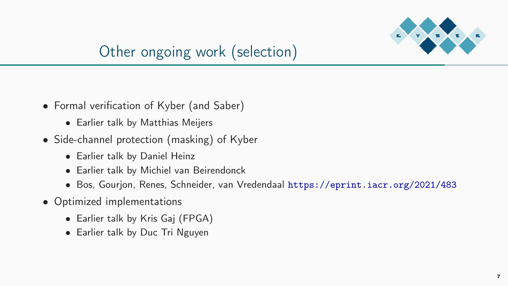

# Other ongoing work (selection)

- Formal verifcation of Kyber (and Saber)
	- Earlier talk by Matthias Meijers
- Side-channel protection (masking) of Kyber
	- Earlier talk by Daniel Heinz
	- Earlier talk by Michiel van Beirendonck
	- Bos, Gourjon, Renes, Schneider, van Vredendaal <https://eprint.iacr.org/2021/483>
- Optimized implementations
	- Earlier talk by Kris Gaj (FPGA)
	- Earlier talk by Duc Tri Nguyen